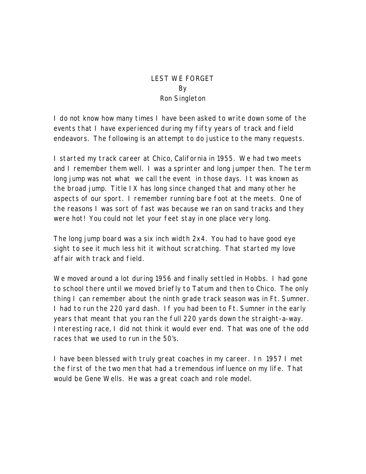## LEST WE FORGET By Ron Singleton

I do not know how many times I have been asked to write down some of the events that I have experienced during my fifty years of track and field endeavors. The following is an attempt to do justice to the many requests.

I started my track career at Chico, California in 1955. We had two meets and I remember them well. I was a sprinter and long jumper then. The term long jump was not what we call the event in those days. It was known as the broad jump. Title IX has long since changed that and many other he aspects of our sport. I remember running bare foot at the meets. One of the reasons I was sort of fast was because we ran on sand tracks and they were hot! You could not let your feet stay in one place very long.

The long jump board was a six inch width 2x4. You had to have good eye sight to see it much less hit it without scratching. That started my love affair with track and field.

We moved around a lot during 1956 and finally settled in Hobbs. I had gone to school there until we moved briefly to Tatum and then to Chico. The only thing I can remember about the ninth grade track season was in Ft. Sumner. I had to run the 220 yard dash. If you had been to Ft. Sumner in the early years that meant that you ran the full 220 yards down the straight-a-way. Interesting race, I did not think it would ever end. That was one of the odd races that we used to run in the 50's.

I have been blessed with truly great coaches in my career. In 1957 I met the first of the two men that had a tremendous influence on my life. That would be Gene Wells. He was a great coach and role model.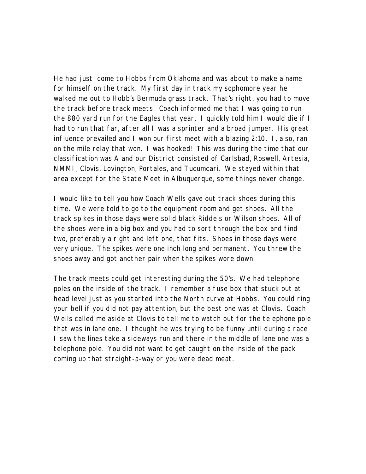He had just come to Hobbs from Oklahoma and was about to make a name for himself on the track. My first day in track my sophomore year he walked me out to Hobb's Bermuda grass track. That's right, you had to move the track before track meets. Coach informed me that I was going to run the 880 yard run for the Eagles that year. I quickly told him I would die if I had to run that far, after all I was a sprinter and a broad jumper. His great influence prevailed and I won our first meet with a blazing 2:10. I, also, ran on the mile relay that won. I was hooked! This was during the time that our classification was A and our District consisted of Carlsbad, Roswell, Artesia, NMMI, Clovis, Lovington, Portales, and Tucumcari. We stayed within that area except for the State Meet in Albuquerque, some things never change.

I would like to tell you how Coach Wells gave out track shoes during this time. We were told to go to the equipment room and get shoes. All the track spikes in those days were solid black Riddels or Wilson shoes. All of the shoes were in a big box and you had to sort through the box and find two, preferably a right and left one, that fits. Shoes in those days were very unique. The spikes were one inch long and permanent. You threw the shoes away and got another pair when the spikes wore down.

The track meets could get interesting during the 50's. We had telephone poles on the inside of the track. I remember a fuse box that stuck out at head level just as you started into the North curve at Hobbs. You could ring your bell if you did not pay attention, but the best one was at Clovis. Coach Wells called me aside at Clovis to tell me to watch out for the telephone pole that was in lane one. I thought he was trying to be funny until during a race I saw the lines take a sideways run and there in the middle of lane one was a telephone pole. You did not want to get caught on the inside of the pack coming up that straight-a-way or you were dead meat.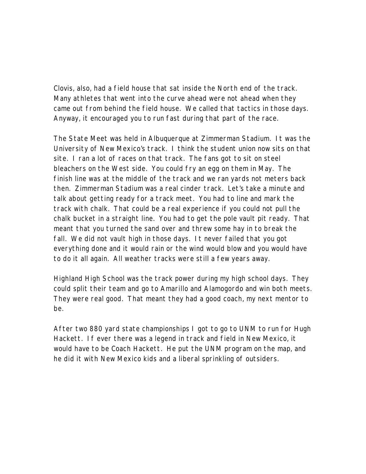Clovis, also, had a field house that sat inside the North end of the track. Many athletes that went into the curve ahead were not ahead when they came out from behind the field house. We called that tactics in those days. Anyway, it encouraged you to run fast during that part of the race.

The State Meet was held in Albuquerque at Zimmerman Stadium. It was the University of New Mexico's track. I think the student union now sits on that site. I ran a lot of races on that track. The fans got to sit on steel bleachers on the West side. You could fry an egg on them in May. The finish line was at the middle of the track and we ran yards not meters back then. Zimmerman Stadium was a real cinder track. Let's take a minute and talk about getting ready for a track meet. You had to line and mark the track with chalk. That could be a real experience if you could not pull the chalk bucket in a straight line. You had to get the pole vault pit ready. That meant that you turned the sand over and threw some hay in to break the fall. We did not vault high in those days. It never failed that you got everything done and it would rain or the wind would blow and you would have to do it all again. All weather tracks were still a few years away.

Highland High School was the track power during my high school days. They could split their team and go to Amarillo and Alamogordo and win both meets. They were real good. That meant they had a good coach, my next mentor to be.

After two 880 yard state championships I got to go to UNM to run for Hugh Hackett. If ever there was a legend in track and field in New Mexico, it would have to be Coach Hackett. He put the UNM program on the map, and he did it with New Mexico kids and a liberal sprinkling of outsiders.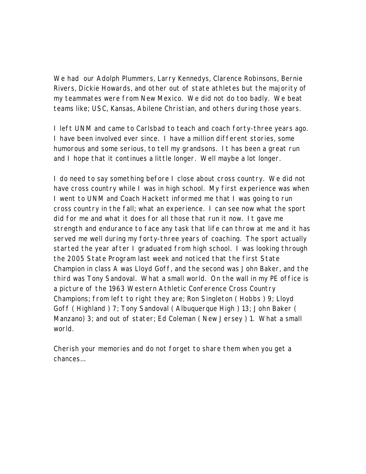We had our Adolph Plummers, Larry Kennedys, Clarence Robinsons, Bernie Rivers, Dickie Howards, and other out of state athletes but the majority of my teammates were from New Mexico. We did not do too badly. We beat teams like; USC, Kansas, Abilene Christian, and others during those years.

I left UNM and came to Carlsbad to teach and coach forty-three years ago. I have been involved ever since. I have a million different stories, some humorous and some serious, to tell my grandsons. It has been a great run and I hope that it continues a little longer. Well maybe a lot longer.

I do need to say something before I close about cross country. We did not have cross country while I was in high school. My first experience was when I went to UNM and Coach Hackett informed me that I was going to run cross country in the fall; what an experience. I can see now what the sport did for me and what it does for all those that run it now. It gave me strength and endurance to face any task that life can throw at me and it has served me well during my forty-three years of coaching. The sport actually started the year after I graduated from high school. I was looking through the 2005 State Program last week and noticed that the first State Champion in class A was Lloyd Goff, and the second was John Baker, and the third was Tony Sandoval. What a small world. On the wall in my PE office is a picture of the 1963 Western Athletic Conference Cross Country Champions; from left to right they are; Ron Singleton ( Hobbs ) 9; Lloyd Goff ( Highland ) 7; Tony Sandoval ( Albuquerque High ) 13; John Baker ( Manzano) 3; and out of stater; Ed Coleman ( New Jersey ) 1. What a small world.

Cherish your memories and do not forget to share them when you get a chances…